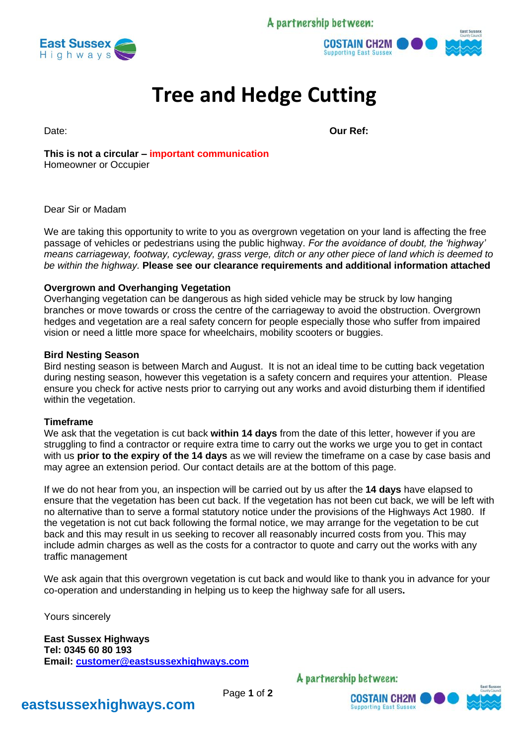A partnership between:





# **Tree and Hedge Cutting**

Date: **Our Ref: Our Ref: Our Ref: Our Ref: Our Ref: Our Ref: Our Ref: Our Ref: Our Ref:**  $\frac{1}{2}$ 

**This is not a circular – important communication** Homeowner or Occupier

#### Dear Sir or Madam

We are taking this opportunity to write to you as overgrown vegetation on your land is affecting the free passage of vehicles or pedestrians using the public highway. *For the avoidance of doubt, the 'highway' means carriageway, footway, cycleway, grass verge, ditch or any other piece of land which is deemed to be within the highway.* **Please see our clearance requirements and additional information attached**

### **Overgrown and Overhanging Vegetation**

Overhanging vegetation can be dangerous as high sided vehicle may be struck by low hanging branches or move towards or cross the centre of the carriageway to avoid the obstruction. Overgrown hedges and vegetation are a real safety concern for people especially those who suffer from impaired vision or need a little more space for wheelchairs, mobility scooters or buggies.

#### **Bird Nesting Season**

Bird nesting season is between March and August. It is not an ideal time to be cutting back vegetation during nesting season, however this vegetation is a safety concern and requires your attention. Please ensure you check for active nests prior to carrying out any works and avoid disturbing them if identified within the vegetation.

#### **Timeframe**

We ask that the vegetation is cut back **within 14 days** from the date of this letter, however if you are struggling to find a contractor or require extra time to carry out the works we urge you to get in contact with us **prior to the expiry of the 14 days** as we will review the timeframe on a case by case basis and may agree an extension period. Our contact details are at the bottom of this page.

If we do not hear from you, an inspection will be carried out by us after the **14 days** have elapsed to ensure that the vegetation has been cut back. If the vegetation has not been cut back, we will be left with no alternative than to serve a formal statutory notice under the provisions of the Highways Act 1980. If the vegetation is not cut back following the formal notice, we may arrange for the vegetation to be cut back and this may result in us seeking to recover all reasonably incurred costs from you. This may include admin charges as well as the costs for a contractor to quote and carry out the works with any traffic management

We ask again that this overgrown vegetation is cut back and would like to thank you in advance for your co-operation and understanding in helping us to keep the highway safe for all users**.**

Yours sincerely

**East Sussex Highways Tel: 0345 60 80 193 Email: [customer@eastsussexhighways.com](mailto:customer@eastsussexhighways.com)**

A partnership between:



## **eastsussexhighways.com**

Page **1** of **2**